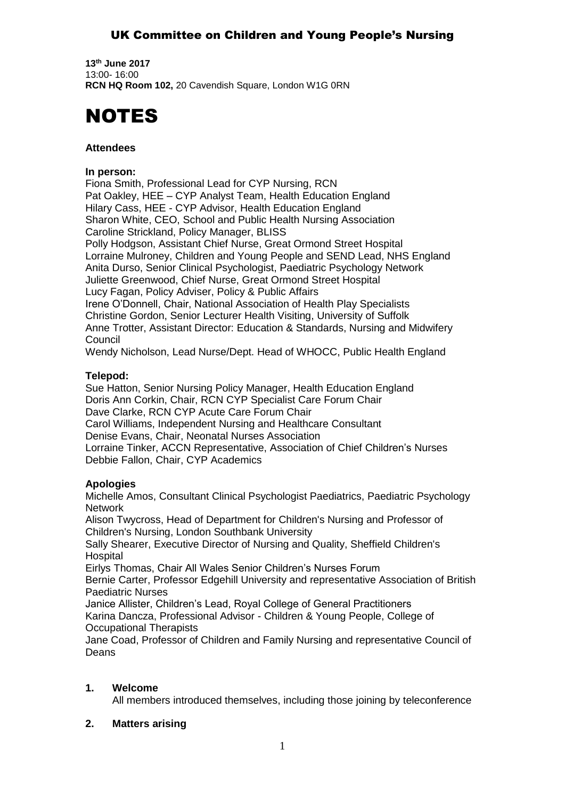# UK Committee on Children and Young People's Nursing

**13th June 2017** 13:00- 16:00 **RCN HQ Room 102,** 20 Cavendish Square, London W1G 0RN



### **Attendees**

#### **In person:**

Fiona Smith, Professional Lead for CYP Nursing, RCN Pat Oakley, HEE – CYP Analyst Team, Health Education England Hilary Cass, HEE - CYP Advisor, Health Education England Sharon White, CEO, School and Public Health Nursing Association Caroline Strickland, Policy Manager, BLISS Polly Hodgson, Assistant Chief Nurse, Great Ormond Street Hospital Lorraine Mulroney, Children and Young People and SEND Lead, NHS England Anita Durso, Senior Clinical Psychologist, Paediatric Psychology Network Juliette Greenwood, Chief Nurse, Great Ormond Street Hospital Lucy Fagan, Policy Adviser, Policy & Public Affairs Irene O'Donnell, Chair, National Association of Health Play Specialists Christine Gordon, Senior Lecturer Health Visiting, University of Suffolk Anne Trotter, Assistant Director: Education & Standards, Nursing and Midwifery **Council** 

Wendy Nicholson, Lead Nurse/Dept. Head of WHOCC, Public Health England

### **Telepod:**

Sue Hatton, Senior Nursing Policy Manager, Health Education England Doris Ann Corkin, Chair, RCN CYP Specialist Care Forum Chair Dave Clarke, RCN CYP Acute Care Forum Chair Carol Williams, Independent Nursing and Healthcare Consultant Denise Evans, Chair, Neonatal Nurses Association Lorraine Tinker, ACCN Representative, Association of Chief Children's Nurses Debbie Fallon, Chair, CYP Academics

### **Apologies**

Michelle Amos, Consultant Clinical Psychologist Paediatrics, Paediatric Psychology **Network** 

Alison Twycross, Head of Department for Children's Nursing and Professor of Children's Nursing, London Southbank University

Sally Shearer, Executive Director of Nursing and Quality, Sheffield Children's Hospital

Eirlys Thomas, Chair All Wales Senior Children's Nurses Forum

Bernie Carter, Professor Edgehill University and representative Association of British Paediatric Nurses

Janice Allister, Children's Lead, Royal College of General Practitioners

Karina Dancza, Professional Advisor - Children & Young People, College of Occupational Therapists

Jane Coad, Professor of Children and Family Nursing and representative Council of Deans

# **1. Welcome**

All members introduced themselves, including those joining by teleconference

# **2. Matters arising**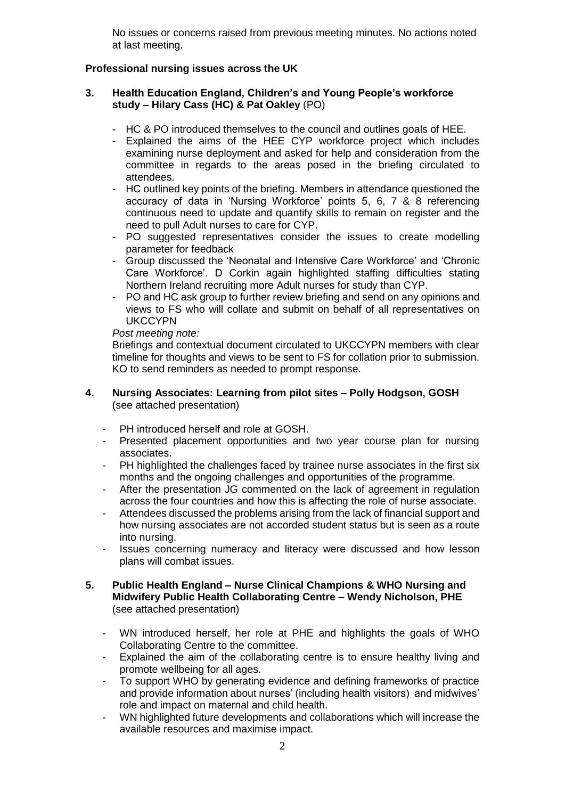No issues or concerns raised from previous meeting minutes. No actions noted at last meeting.

### **Professional nursing issues across the UK**

### **3. Health Education England, Children's and Young People's workforce study – Hilary Cass (HC) & Pat Oakley** (PO)

- HC & PO introduced themselves to the council and outlines goals of HEE.
- Explained the aims of the HEE CYP workforce project which includes examining nurse deployment and asked for help and consideration from the committee in regards to the areas posed in the briefing circulated to attendees.
- HC outlined key points of the briefing. Members in attendance questioned the accuracy of data in 'Nursing Workforce' points 5, 6, 7 & 8 referencing continuous need to update and quantify skills to remain on register and the need to pull Adult nurses to care for CYP.
- PO suggested representatives consider the issues to create modelling parameter for feedback
- Group discussed the 'Neonatal and Intensive Care Workforce' and 'Chronic Care Workforce'. D Corkin again highlighted staffing difficulties stating Northern Ireland recruiting more Adult nurses for study than CYP.
- PO and HC ask group to further review briefing and send on any opinions and views to FS who will collate and submit on behalf of all representatives on **UKCCYPN**

#### *Post meeting note:*

Briefings and contextual document circulated to UKCCYPN members with clear timeline for thoughts and views to be sent to FS for collation prior to submission. KO to send reminders as needed to prompt response.

### **4. Nursing Associates: Learning from pilot sites – Polly Hodgson, GOSH** (see attached presentation)

- PH introduced herself and role at GOSH.
- Presented placement opportunities and two year course plan for nursing associates.
- PH highlighted the challenges faced by trainee nurse associates in the first six months and the ongoing challenges and opportunities of the programme.
- After the presentation JG commented on the lack of agreement in regulation across the four countries and how this is affecting the role of nurse associate.
- Attendees discussed the problems arising from the lack of financial support and how nursing associates are not accorded student status but is seen as a route into nursing.
- Issues concerning numeracy and literacy were discussed and how lesson plans will combat issues.

### **5. Public Health England – Nurse Clinical Champions & WHO Nursing and Midwifery Public Health Collaborating Centre – Wendy Nicholson, PHE**  (see attached presentation)

- WN introduced herself, her role at PHE and highlights the goals of WHO Collaborating Centre to the committee.
- Explained the aim of the collaborating centre is to ensure healthy living and promote wellbeing for all ages.
- To support WHO by generating evidence and defining frameworks of practice and provide information about nurses' (including health visitors) and midwives' role and impact on maternal and child health.
- WN highlighted future developments and collaborations which will increase the available resources and maximise impact.